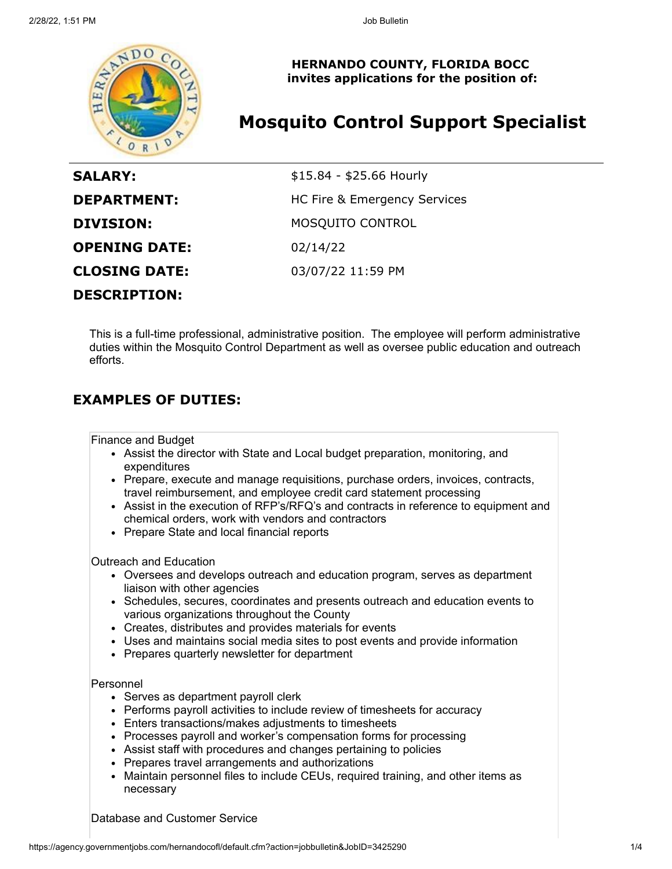

**HERNANDO COUNTY, FLORIDA BOCC invites applications for the position of:**

# **Mosquito Control Support Specialist**

| <b>SALARY:</b>       | \$15.84 - \$25.66 Hourly     |
|----------------------|------------------------------|
| <b>DEPARTMENT:</b>   | HC Fire & Emergency Services |
| <b>DIVISION:</b>     | <b>MOSQUITO CONTROL</b>      |
| <b>OPENING DATE:</b> | 02/14/22                     |
| <b>CLOSING DATE:</b> | 03/07/22 11:59 PM            |
| <b>DESCRIPTION:</b>  |                              |

This is a full-time professional, administrative position. The employee will perform administrative duties within the Mosquito Control Department as well as oversee public education and outreach efforts.

## **EXAMPLES OF DUTIES:**

Finance and Budget

- Assist the director with State and Local budget preparation, monitoring, and expenditures
- Prepare, execute and manage requisitions, purchase orders, invoices, contracts, travel reimbursement, and employee credit card statement processing
- Assist in the execution of RFP's/RFQ's and contracts in reference to equipment and chemical orders, work with vendors and contractors
- Prepare State and local financial reports

Outreach and Education

- Oversees and develops outreach and education program, serves as department liaison with other agencies
- Schedules, secures, coordinates and presents outreach and education events to various organizations throughout the County
- Creates, distributes and provides materials for events
- Uses and maintains social media sites to post events and provide information
- Prepares quarterly newsletter for department

### Personnel

- Serves as department payroll clerk
- Performs payroll activities to include review of timesheets for accuracy
- Enters transactions/makes adjustments to timesheets
- Processes payroll and worker's compensation forms for processing
- Assist staff with procedures and changes pertaining to policies
- Prepares travel arrangements and authorizations
- Maintain personnel files to include CEUs, required training, and other items as necessary

### Database and Customer Service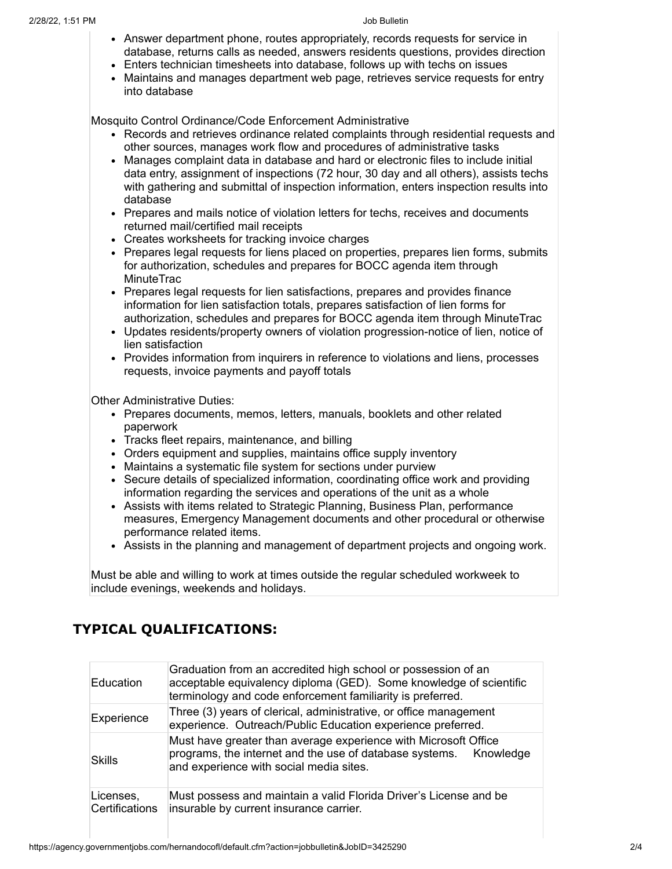- Answer department phone, routes appropriately, records requests for service in database, returns calls as needed, answers residents questions, provides direction
- Enters technician timesheets into database, follows up with techs on issues
- Maintains and manages department web page, retrieves service requests for entry into database

Mosquito Control Ordinance/Code Enforcement Administrative

- Records and retrieves ordinance related complaints through residential requests and other sources, manages work flow and procedures of administrative tasks
- $\bullet$ Manages complaint data in database and hard or electronic files to include initial data entry, assignment of inspections (72 hour, 30 day and all others), assists techs with gathering and submittal of inspection information, enters inspection results into database
- Prepares and mails notice of violation letters for techs, receives and documents returned mail/certified mail receipts
- Creates worksheets for tracking invoice charges
- Prepares legal requests for liens placed on properties, prepares lien forms, submits for authorization, schedules and prepares for BOCC agenda item through **MinuteTrac**
- Prepares legal requests for lien satisfactions, prepares and provides finance information for lien satisfaction totals, prepares satisfaction of lien forms for authorization, schedules and prepares for BOCC agenda item through MinuteTrac
- Updates residents/property owners of violation progression-notice of lien, notice of lien satisfaction
- Provides information from inquirers in reference to violations and liens, processes requests, invoice payments and payoff totals

Other Administrative Duties:

- Prepares documents, memos, letters, manuals, booklets and other related paperwork
- Tracks fleet repairs, maintenance, and billing
- Orders equipment and supplies, maintains office supply inventory
- Maintains a systematic file system for sections under purview
- Secure details of specialized information, coordinating office work and providing information regarding the services and operations of the unit as a whole
- Assists with items related to Strategic Planning, Business Plan, performance measures, Emergency Management documents and other procedural or otherwise performance related items.
- Assists in the planning and management of department projects and ongoing work.

Must be able and willing to work at times outside the regular scheduled workweek to include evenings, weekends and holidays.

## **TYPICAL QUALIFICATIONS:**

| <b>Education</b>            | Graduation from an accredited high school or possession of an<br>acceptable equivalency diploma (GED). Some knowledge of scientific<br>terminology and code enforcement familiarity is preferred. |
|-----------------------------|---------------------------------------------------------------------------------------------------------------------------------------------------------------------------------------------------|
| Experience                  | Three (3) years of clerical, administrative, or office management<br>experience. Outreach/Public Education experience preferred.                                                                  |
| Skills                      | Must have greater than average experience with Microsoft Office<br>programs, the internet and the use of database systems.  Knowledge<br>and experience with social media sites.                  |
| Licenses,<br>Certifications | Must possess and maintain a valid Florida Driver's License and be<br>insurable by current insurance carrier.                                                                                      |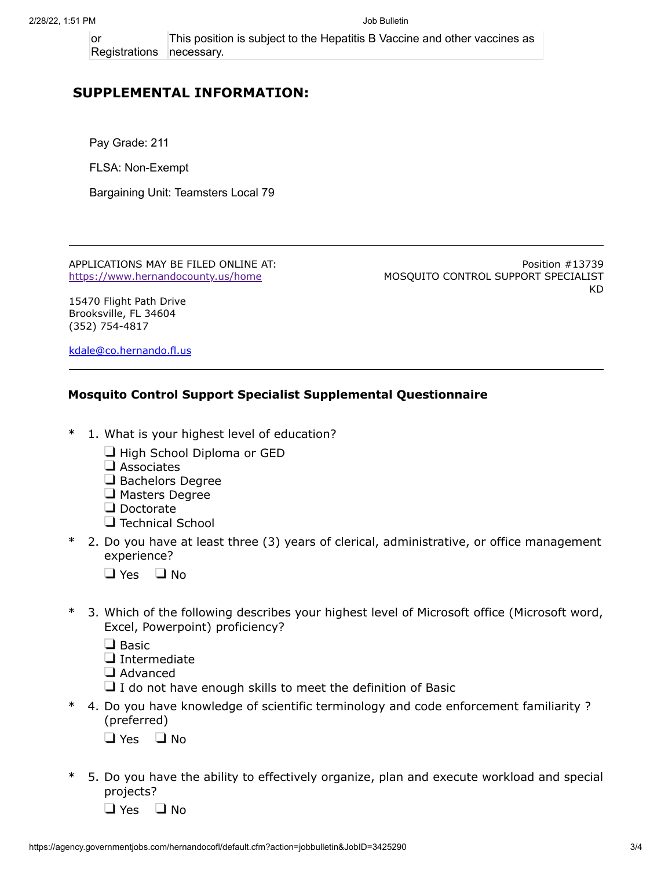or Registrations This position is subject to the Hepatitis B Vaccine and other vaccines as necessary.

### **SUPPLEMENTAL INFORMATION:**

Pay Grade: 211

FLSA: Non-Exempt

Bargaining Unit: Teamsters Local 79

APPLICATIONS MAY BE FILED ONLINE AT: <https://www.hernandocounty.us/home>

Position #13739 MOSQUITO CONTROL SUPPORT SPECIALIST KD

15470 Flight Path Drive Brooksville, FL 34604 (352) 754-4817

[kdale@co.hernando.fl.us](mailto:kdale@co.hernando.fl.us)

### **Mosquito Control Support Specialist Supplemental Questionnaire**

- \* 1. What is your highest level of education?
	- $\Box$  High School Diploma or GED
	- $\square$  Associates
	- Bachelors Degree
	- **J** Masters Degree
	- Doctorate
	- **Technical School**
- \* 2. Do you have at least three (3) years of clerical, administrative, or office management experience?
	- $\Box$  Yes  $\Box$  No
- \* 3. Which of the following describes your highest level of Microsoft office (Microsoft word, Excel, Powerpoint) proficiency?

 $\Box$  Basic

- $\Box$  Intermediate
- Advanced
- $\Box$  I do not have enough skills to meet the definition of Basic
- \* 4. Do you have knowledge of scientific terminology and code enforcement familiarity ? (preferred)
	- $\Box$  Yes  $\Box$  No
- \* 5. Do you have the ability to effectively organize, plan and execute workload and special projects?

 $\Box$  Yes  $\Box$  No